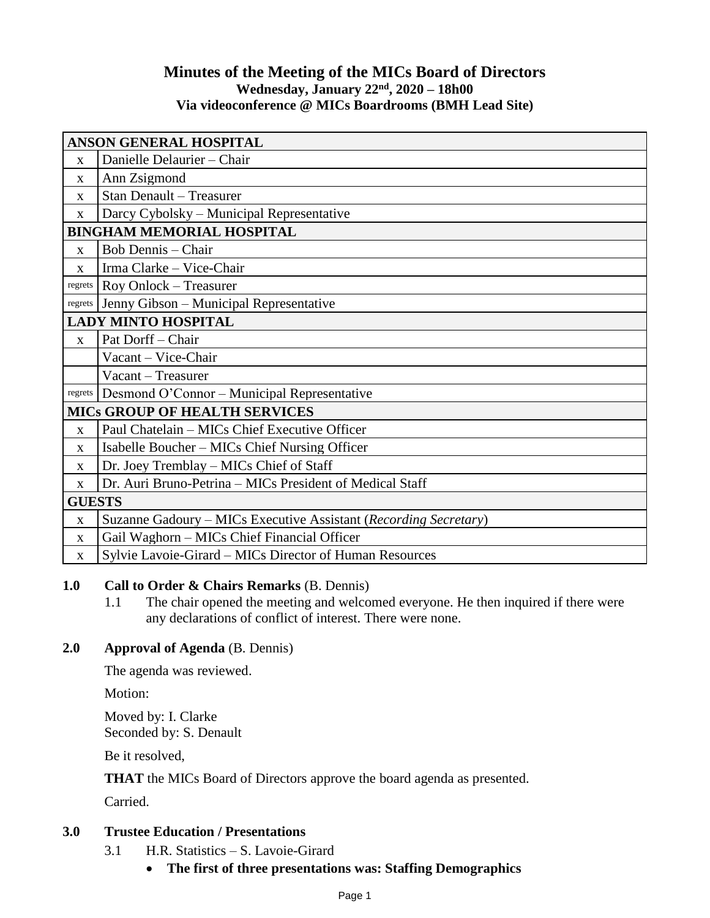## **Minutes of the Meeting of the MICs Board of Directors Wednesday, January 22nd, 2020 – 18h00 Via videoconference @ MICs Boardrooms (BMH Lead Site)**

| <b>ANSON GENERAL HOSPITAL</b>        |                                                                  |
|--------------------------------------|------------------------------------------------------------------|
| $\mathbf{x}$                         | Danielle Delaurier - Chair                                       |
| X                                    | Ann Zsigmond                                                     |
| X                                    | <b>Stan Denault - Treasurer</b>                                  |
| X                                    | Darcy Cybolsky – Municipal Representative                        |
| <b>BINGHAM MEMORIAL HOSPITAL</b>     |                                                                  |
| X                                    | <b>Bob Dennis - Chair</b>                                        |
| $\mathbf{x}$                         | Irma Clarke - Vice-Chair                                         |
| regrets                              | Roy Onlock - Treasurer                                           |
| regrets                              | Jenny Gibson - Municipal Representative                          |
| <b>LADY MINTO HOSPITAL</b>           |                                                                  |
| $\mathbf{X}$                         | Pat Dorff - Chair                                                |
|                                      | Vacant - Vice-Chair                                              |
|                                      | Vacant – Treasurer                                               |
| regrets                              | Desmond O'Connor – Municipal Representative                      |
| <b>MICS GROUP OF HEALTH SERVICES</b> |                                                                  |
| $\mathbf{x}$                         | Paul Chatelain - MICs Chief Executive Officer                    |
| $\mathbf{x}$                         | Isabelle Boucher – MICs Chief Nursing Officer                    |
| X                                    | Dr. Joey Tremblay - MICs Chief of Staff                          |
| $\mathbf{x}$                         | Dr. Auri Bruno-Petrina – MICs President of Medical Staff         |
| <b>GUESTS</b>                        |                                                                  |
| X                                    | Suzanne Gadoury – MICs Executive Assistant (Recording Secretary) |
| $\mathbf{X}$                         | Gail Waghorn - MICs Chief Financial Officer                      |
| $\mathbf{X}$                         | Sylvie Lavoie-Girard – MICs Director of Human Resources          |

## **1.0 Call to Order & Chairs Remarks** (B. Dennis)

1.1 The chair opened the meeting and welcomed everyone. He then inquired if there were any declarations of conflict of interest. There were none.

## **2.0 Approval of Agenda** (B. Dennis)

The agenda was reviewed.

Motion:

Moved by: I. Clarke Seconded by: S. Denault

Be it resolved,

**THAT** the MICs Board of Directors approve the board agenda as presented.

Carried.

# **3.0 Trustee Education / Presentations**

- 3.1 H.R. Statistics S. Lavoie-Girard
	- **The first of three presentations was: Staffing Demographics**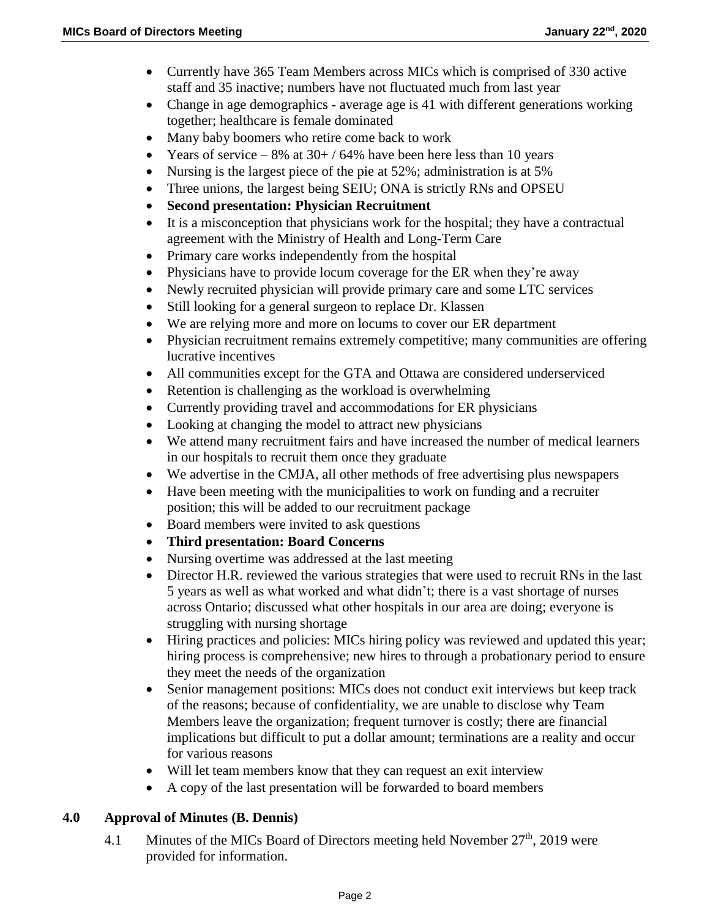- Currently have 365 Team Members across MICs which is comprised of 330 active staff and 35 inactive; numbers have not fluctuated much from last year
- Change in age demographics average age is 41 with different generations working together; healthcare is female dominated
- Many baby boomers who retire come back to work
- Years of service 8% at  $30+ / 64$ % have been here less than 10 years
- Nursing is the largest piece of the pie at 52%; administration is at 5%
- Three unions, the largest being SEIU; ONA is strictly RNs and OPSEU
- **Second presentation: Physician Recruitment**
- It is a misconception that physicians work for the hospital; they have a contractual agreement with the Ministry of Health and Long-Term Care
- Primary care works independently from the hospital
- Physicians have to provide locum coverage for the ER when they're away
- Newly recruited physician will provide primary care and some LTC services
- Still looking for a general surgeon to replace Dr. Klassen
- We are relying more and more on locums to cover our ER department
- Physician recruitment remains extremely competitive; many communities are offering lucrative incentives
- All communities except for the GTA and Ottawa are considered underserviced
- Retention is challenging as the workload is overwhelming
- Currently providing travel and accommodations for ER physicians
- Looking at changing the model to attract new physicians
- We attend many recruitment fairs and have increased the number of medical learners in our hospitals to recruit them once they graduate
- We advertise in the CMJA, all other methods of free advertising plus newspapers
- Have been meeting with the municipalities to work on funding and a recruiter position; this will be added to our recruitment package
- Board members were invited to ask questions
- **Third presentation: Board Concerns**
- Nursing overtime was addressed at the last meeting
- Director H.R. reviewed the various strategies that were used to recruit RNs in the last 5 years as well as what worked and what didn't; there is a vast shortage of nurses across Ontario; discussed what other hospitals in our area are doing; everyone is struggling with nursing shortage
- Hiring practices and policies: MICs hiring policy was reviewed and updated this year; hiring process is comprehensive; new hires to through a probationary period to ensure they meet the needs of the organization
- Senior management positions: MICs does not conduct exit interviews but keep track of the reasons; because of confidentiality, we are unable to disclose why Team Members leave the organization; frequent turnover is costly; there are financial implications but difficult to put a dollar amount; terminations are a reality and occur for various reasons
- Will let team members know that they can request an exit interview
- A copy of the last presentation will be forwarded to board members

## **4.0 Approval of Minutes (B. Dennis)**

4.1 Minutes of the MICs Board of Directors meeting held November  $27<sup>th</sup>$ , 2019 were provided for information.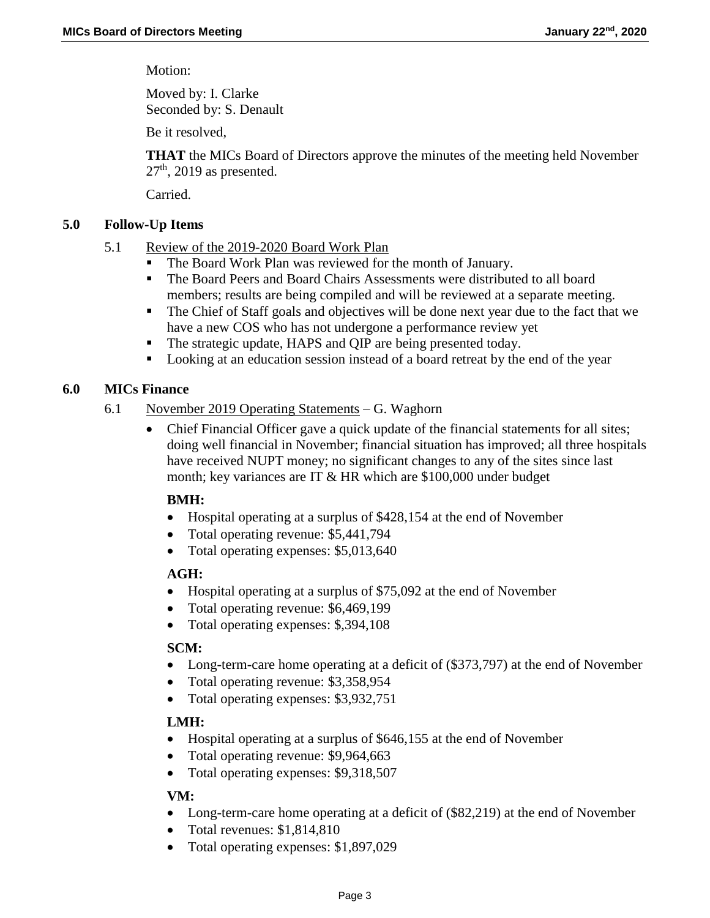Motion:

Moved by: I. Clarke Seconded by: S. Denault

Be it resolved,

**THAT** the MICs Board of Directors approve the minutes of the meeting held November  $27<sup>th</sup>$ , 2019 as presented.

Carried.

### **5.0 Follow-Up Items**

- 5.1 Review of the 2019-2020 Board Work Plan
	- The Board Work Plan was reviewed for the month of January.
	- The Board Peers and Board Chairs Assessments were distributed to all board members; results are being compiled and will be reviewed at a separate meeting.
	- The Chief of Staff goals and objectives will be done next year due to the fact that we have a new COS who has not undergone a performance review yet
	- The strategic update, HAPS and QIP are being presented today.
	- **Looking at an education session instead of a board retreat by the end of the year**

## **6.0 MICs Finance**

- 6.1 November 2019 Operating Statements G. Waghorn
	- Chief Financial Officer gave a quick update of the financial statements for all sites; doing well financial in November; financial situation has improved; all three hospitals have received NUPT money; no significant changes to any of the sites since last month; key variances are IT & HR which are \$100,000 under budget

#### **BMH:**

- Hospital operating at a surplus of \$428,154 at the end of November
- Total operating revenue: \$5,441,794
- Total operating expenses: \$5,013,640

### **AGH:**

- Hospital operating at a surplus of \$75,092 at the end of November
- Total operating revenue: \$6,469,199
- Total operating expenses: \$,394,108

## **SCM:**

- Long-term-care home operating at a deficit of (\$373,797) at the end of November
- Total operating revenue: \$3,358,954
- Total operating expenses: \$3,932,751

## **LMH:**

- Hospital operating at a surplus of \$646,155 at the end of November
- Total operating revenue: \$9,964,663
- Total operating expenses: \$9,318,507

## **VM:**

- Long-term-care home operating at a deficit of (\$82,219) at the end of November
- Total revenues: \$1,814,810
- Total operating expenses: \$1,897,029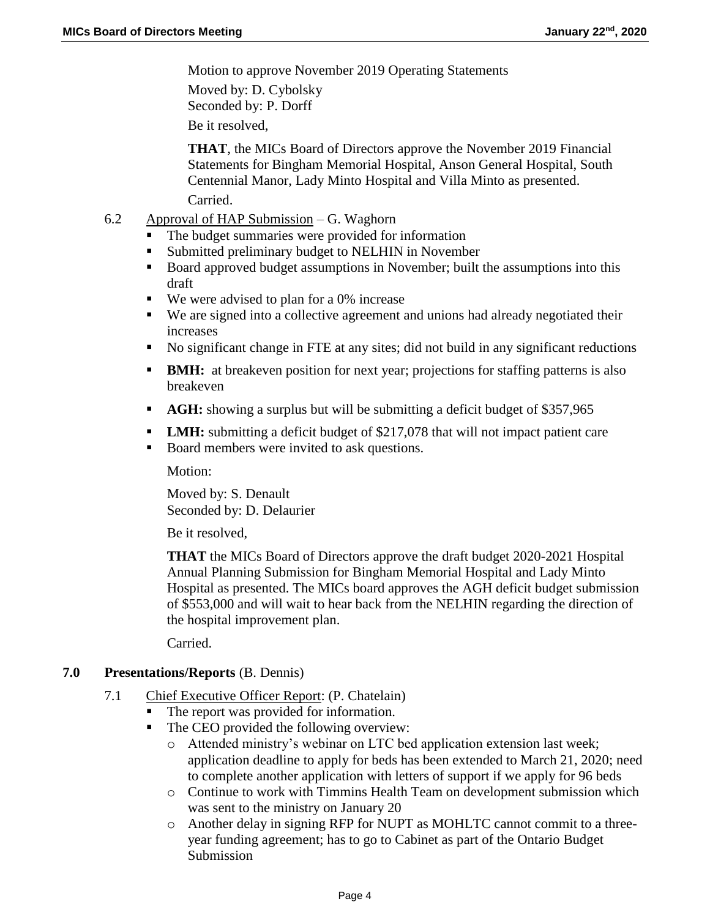Motion to approve November 2019 Operating Statements

Moved by: D. Cybolsky Seconded by: P. Dorff Be it resolved,

**THAT**, the MICs Board of Directors approve the November 2019 Financial Statements for Bingham Memorial Hospital, Anson General Hospital, South Centennial Manor, Lady Minto Hospital and Villa Minto as presented. Carried.

- 6.2 Approval of HAP Submission G. Waghorn
	- The budget summaries were provided for information
	- Submitted preliminary budget to NELHIN in November
	- Board approved budget assumptions in November; built the assumptions into this draft
	- We were advised to plan for a 0% increase
	- We are signed into a collective agreement and unions had already negotiated their increases
	- No significant change in FTE at any sites; did not build in any significant reductions
	- **BMH:** at breakeven position for next year; projections for staffing patterns is also breakeven
	- **AGH:** showing a surplus but will be submitting a deficit budget of \$357,965
	- **LMH:** submitting a deficit budget of \$217,078 that will not impact patient care
	- Board members were invited to ask questions.

Motion:

Moved by: S. Denault Seconded by: D. Delaurier

Be it resolved,

**THAT** the MICs Board of Directors approve the draft budget 2020-2021 Hospital Annual Planning Submission for Bingham Memorial Hospital and Lady Minto Hospital as presented. The MICs board approves the AGH deficit budget submission of \$553,000 and will wait to hear back from the NELHIN regarding the direction of the hospital improvement plan.

Carried.

### **7.0 Presentations/Reports** (B. Dennis)

- 7.1 Chief Executive Officer Report: (P. Chatelain)
	- The report was provided for information.
	- The CEO provided the following overview:
		- o Attended ministry's webinar on LTC bed application extension last week; application deadline to apply for beds has been extended to March 21, 2020; need to complete another application with letters of support if we apply for 96 beds
		- o Continue to work with Timmins Health Team on development submission which was sent to the ministry on January 20
		- o Another delay in signing RFP for NUPT as MOHLTC cannot commit to a threeyear funding agreement; has to go to Cabinet as part of the Ontario Budget Submission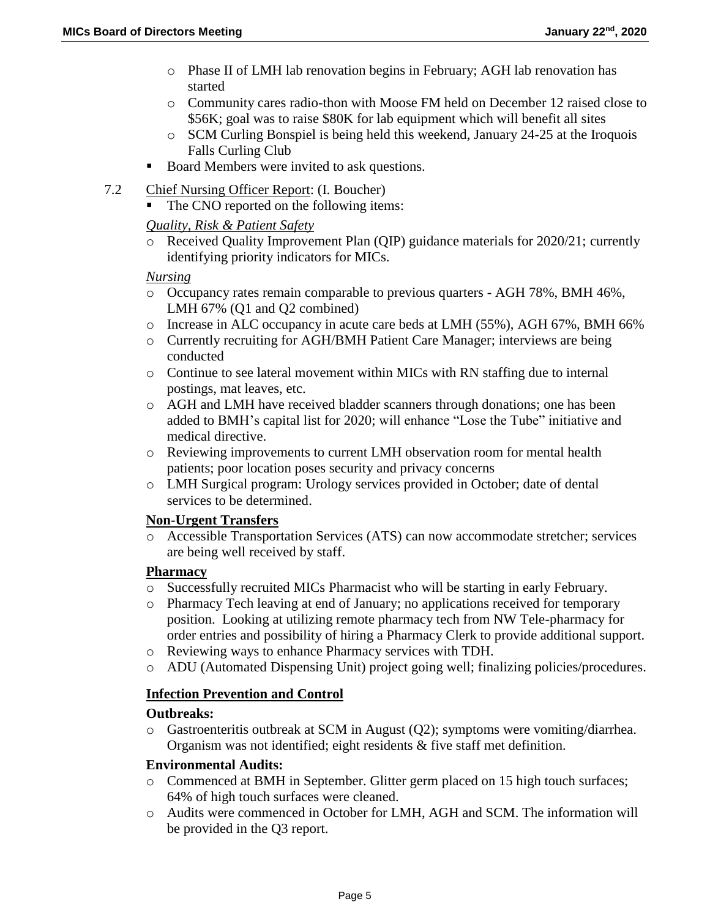- o Phase II of LMH lab renovation begins in February; AGH lab renovation has started
- o Community cares radio-thon with Moose FM held on December 12 raised close to \$56K; goal was to raise \$80K for lab equipment which will benefit all sites
- o SCM Curling Bonspiel is being held this weekend, January 24-25 at the Iroquois Falls Curling Club
- Board Members were invited to ask questions.
- 7.2 Chief Nursing Officer Report: (I. Boucher)
	- The CNO reported on the following items:

### *Quality, Risk & Patient Safety*

o Received Quality Improvement Plan (QIP) guidance materials for 2020/21; currently identifying priority indicators for MICs.

## *Nursing*

- o Occupancy rates remain comparable to previous quarters AGH 78%, BMH 46%, LMH 67% (Q1 and Q2 combined)
- o Increase in ALC occupancy in acute care beds at LMH (55%), AGH 67%, BMH 66%
- o Currently recruiting for AGH/BMH Patient Care Manager; interviews are being conducted
- o Continue to see lateral movement within MICs with RN staffing due to internal postings, mat leaves, etc.
- o AGH and LMH have received bladder scanners through donations; one has been added to BMH's capital list for 2020; will enhance "Lose the Tube" initiative and medical directive.
- o Reviewing improvements to current LMH observation room for mental health patients; poor location poses security and privacy concerns
- o LMH Surgical program: Urology services provided in October; date of dental services to be determined.

#### **Non-Urgent Transfers**

o Accessible Transportation Services (ATS) can now accommodate stretcher; services are being well received by staff.

#### **Pharmacy**

- o Successfully recruited MICs Pharmacist who will be starting in early February.
- o Pharmacy Tech leaving at end of January; no applications received for temporary position. Looking at utilizing remote pharmacy tech from NW Tele-pharmacy for order entries and possibility of hiring a Pharmacy Clerk to provide additional support.
- o Reviewing ways to enhance Pharmacy services with TDH.
- o ADU (Automated Dispensing Unit) project going well; finalizing policies/procedures.

## **Infection Prevention and Control**

#### **Outbreaks:**

o Gastroenteritis outbreak at SCM in August (Q2); symptoms were vomiting/diarrhea. Organism was not identified; eight residents & five staff met definition.

#### **Environmental Audits:**

- o Commenced at BMH in September. Glitter germ placed on 15 high touch surfaces; 64% of high touch surfaces were cleaned.
- o Audits were commenced in October for LMH, AGH and SCM. The information will be provided in the Q3 report.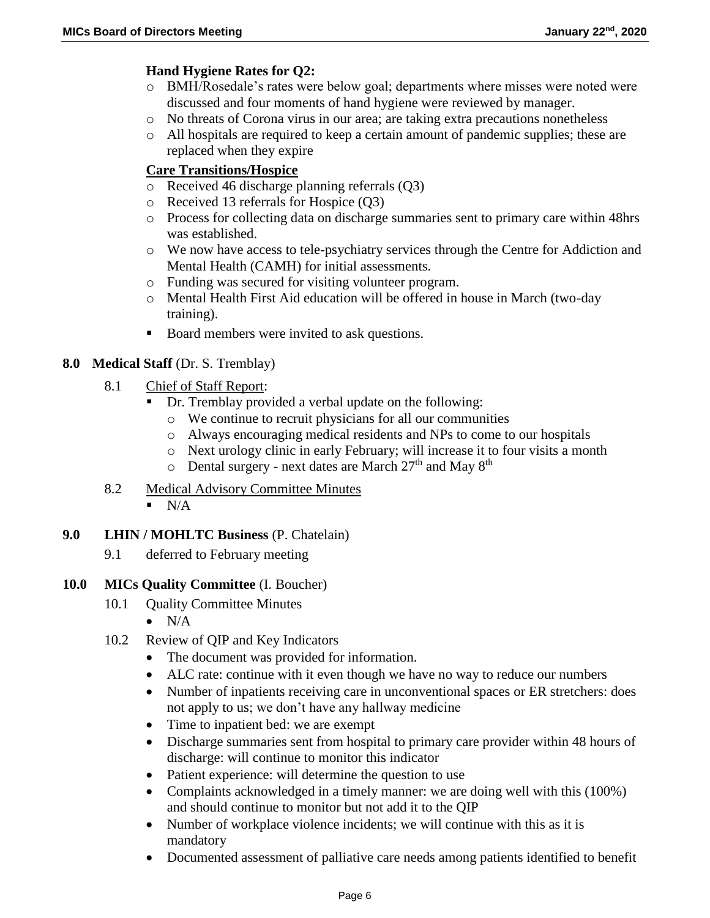### **Hand Hygiene Rates for Q2:**

- o BMH/Rosedale's rates were below goal; departments where misses were noted were discussed and four moments of hand hygiene were reviewed by manager.
- o No threats of Corona virus in our area; are taking extra precautions nonetheless
- o All hospitals are required to keep a certain amount of pandemic supplies; these are replaced when they expire

### **Care Transitions/Hospice**

- o Received 46 discharge planning referrals (Q3)
- o Received 13 referrals for Hospice (Q3)
- o Process for collecting data on discharge summaries sent to primary care within 48hrs was established.
- o We now have access to tele-psychiatry services through the Centre for Addiction and Mental Health (CAMH) for initial assessments.
- o Funding was secured for visiting volunteer program.
- o Mental Health First Aid education will be offered in house in March (two-day training).
- Board members were invited to ask questions.

### **8.0 Medical Staff** (Dr. S. Tremblay)

- 8.1 Chief of Staff Report:
	- Dr. Tremblay provided a verbal update on the following:
		- o We continue to recruit physicians for all our communities
		- o Always encouraging medical residents and NPs to come to our hospitals
		- o Next urology clinic in early February; will increase it to four visits a month
		- $\circ$  Dental surgery next dates are March 27<sup>th</sup> and May 8<sup>th</sup>
- 8.2 Medical Advisory Committee Minutes  $N/A$
- **9.0 LHIN / MOHLTC Business** (P. Chatelain)
	- 9.1 deferred to February meeting
- **10.0 MICs Quality Committee** (I. Boucher)
	- 10.1 Quality Committee Minutes
		- $\bullet$  N/A
	- 10.2 Review of QIP and Key Indicators
		- The document was provided for information.
		- ALC rate: continue with it even though we have no way to reduce our numbers
		- Number of inpatients receiving care in unconventional spaces or ER stretchers: does not apply to us; we don't have any hallway medicine
		- Time to inpatient bed: we are exempt
		- Discharge summaries sent from hospital to primary care provider within 48 hours of discharge: will continue to monitor this indicator
		- Patient experience: will determine the question to use
		- Complaints acknowledged in a timely manner: we are doing well with this (100%) and should continue to monitor but not add it to the QIP
		- Number of workplace violence incidents; we will continue with this as it is mandatory
		- Documented assessment of palliative care needs among patients identified to benefit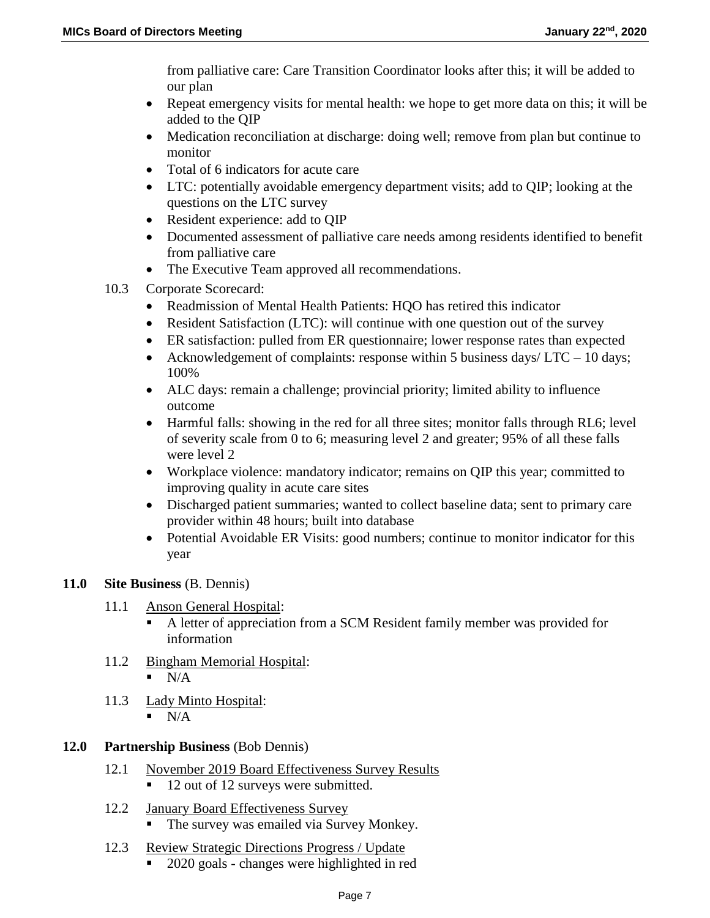from palliative care: Care Transition Coordinator looks after this; it will be added to our plan

- Repeat emergency visits for mental health: we hope to get more data on this; it will be added to the QIP
- Medication reconciliation at discharge: doing well; remove from plan but continue to monitor
- Total of 6 indicators for acute care
- LTC: potentially avoidable emergency department visits; add to QIP; looking at the questions on the LTC survey
- Resident experience: add to QIP
- Documented assessment of palliative care needs among residents identified to benefit from palliative care
- The Executive Team approved all recommendations.
- 10.3 Corporate Scorecard:
	- Readmission of Mental Health Patients: HQO has retired this indicator
	- Resident Satisfaction (LTC): will continue with one question out of the survey
	- ER satisfaction: pulled from ER questionnaire; lower response rates than expected
	- Acknowledgement of complaints: response within 5 business days/  $\text{LTC} 10$  days; 100%
	- ALC days: remain a challenge; provincial priority; limited ability to influence outcome
	- Harmful falls: showing in the red for all three sites; monitor falls through RL6; level of severity scale from 0 to 6; measuring level 2 and greater; 95% of all these falls were level 2
	- Workplace violence: mandatory indicator; remains on QIP this year; committed to improving quality in acute care sites
	- Discharged patient summaries; wanted to collect baseline data; sent to primary care provider within 48 hours; built into database
	- Potential Avoidable ER Visits: good numbers; continue to monitor indicator for this year

## **11.0 Site Business** (B. Dennis)

- 11.1 Anson General Hospital:
	- A letter of appreciation from a SCM Resident family member was provided for information
- 11.2 Bingham Memorial Hospital:
	- $N/A$
- 11.3 Lady Minto Hospital:
	- $\blacksquare$  N/A
- **12.0 Partnership Business** (Bob Dennis)
	- 12.1 November 2019 Board Effectiveness Survey Results
		- 12 out of 12 surveys were submitted.
	- 12.2 January Board Effectiveness Survey
		- The survey was emailed via Survey Monkey.
	- 12.3 Review Strategic Directions Progress / Update
		- 2020 goals changes were highlighted in red